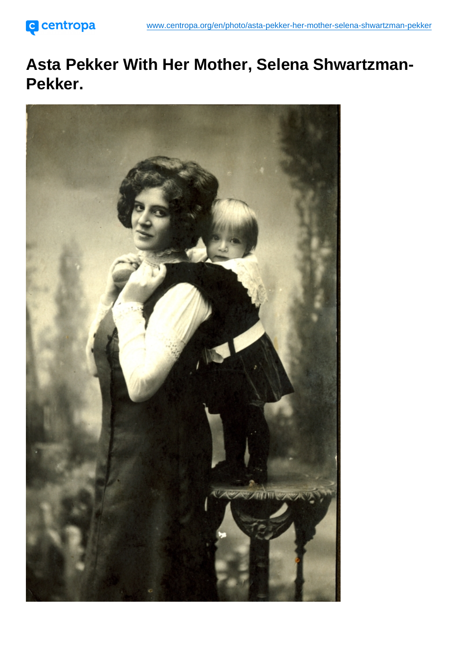Asta Pekker With Her Mother, Selena Shwartzman-Pekker.